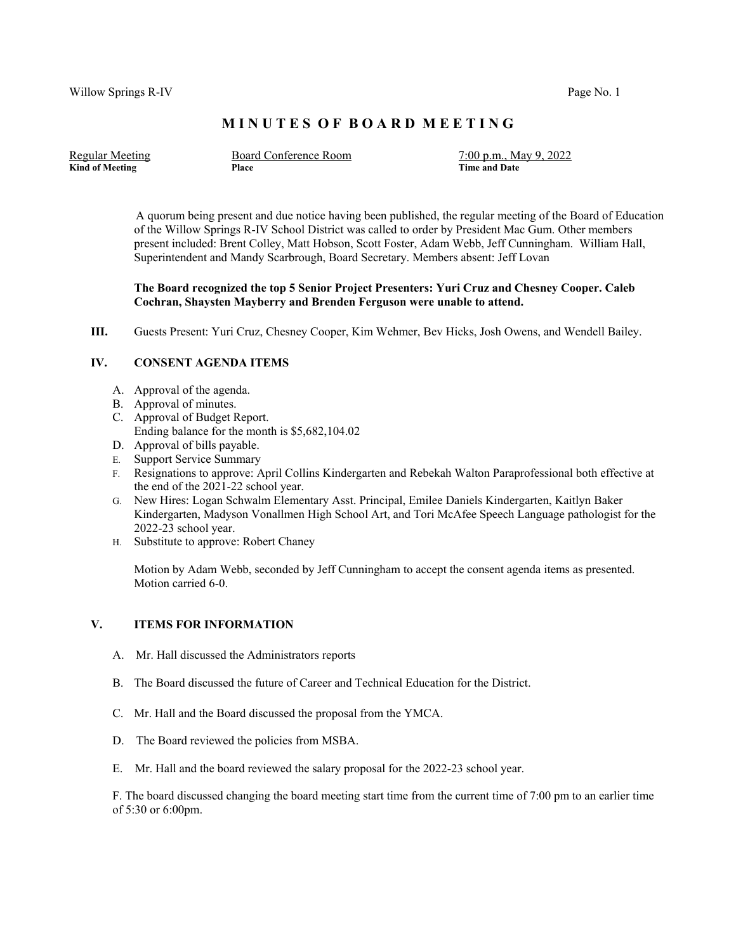## **M I N U T E S O F B O A R D M E E T I N G**

Regular Meeting Board Conference Room 7:00 p.m., May 9, 2022 **Kind of Meeting Place Place Place Place Place Place Place Place Place Place Place Place Place Place Place Place Place Place Place Place Place Place Place Place Place Place Place Place Place Place Place Place Place Place P** 

 A quorum being present and due notice having been published, the regular meeting of the Board of Education of the Willow Springs R-IV School District was called to order by President Mac Gum. Other members present included: Brent Colley, Matt Hobson, Scott Foster, Adam Webb, Jeff Cunningham. William Hall, Superintendent and Mandy Scarbrough, Board Secretary. Members absent: Jeff Lovan

## **The Board recognized the top 5 Senior Project Presenters: Yuri Cruz and Chesney Cooper. Caleb Cochran, Shaysten Mayberry and Brenden Ferguson were unable to attend.**

**III.** Guests Present: Yuri Cruz, Chesney Cooper, Kim Wehmer, Bev Hicks, Josh Owens, and Wendell Bailey.

## **IV. CONSENT AGENDA ITEMS**

- A. Approval of the agenda.
- B. Approval of minutes.
- C. Approval of Budget Report.
- Ending balance for the month is \$5,682,104.02
- D. Approval of bills payable.
- E. Support Service Summary
- F. Resignations to approve: April Collins Kindergarten and Rebekah Walton Paraprofessional both effective at the end of the 2021-22 school year.
- G. New Hires: Logan Schwalm Elementary Asst. Principal, Emilee Daniels Kindergarten, Kaitlyn Baker Kindergarten, Madyson Vonallmen High School Art, and Tori McAfee Speech Language pathologist for the 2022-23 school year.
- H. Substitute to approve: Robert Chaney

Motion by Adam Webb, seconded by Jeff Cunningham to accept the consent agenda items as presented. Motion carried 6-0.

#### **V. ITEMS FOR INFORMATION**

- A. Mr. Hall discussed the Administrators reports
- B. The Board discussed the future of Career and Technical Education for the District.
- C. Mr. Hall and the Board discussed the proposal from the YMCA.
- D. The Board reviewed the policies from MSBA.
- E. Mr. Hall and the board reviewed the salary proposal for the 2022-23 school year.

F. The board discussed changing the board meeting start time from the current time of 7:00 pm to an earlier time of 5:30 or 6:00pm.